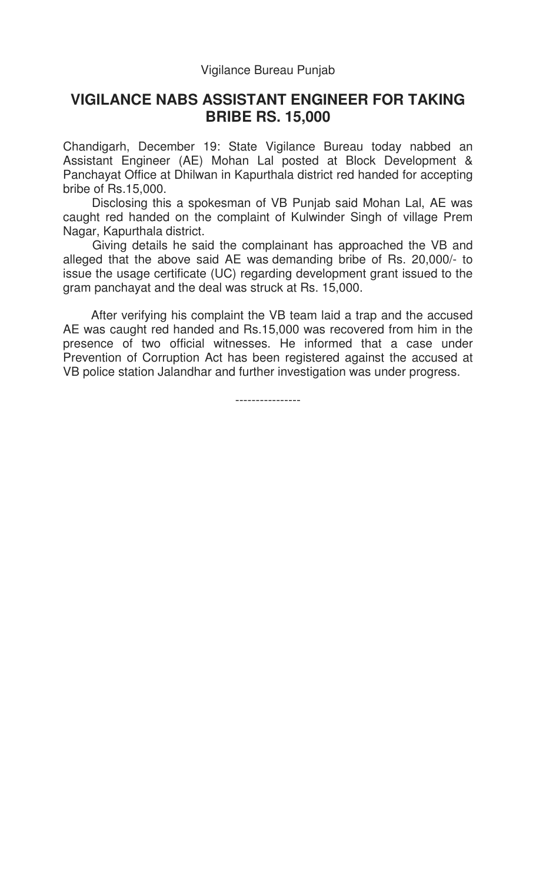## **VIGILANCE NABS ASSISTANT ENGINEER FOR TAKING BRIBE RS. 15,000**

Chandigarh, December 19: State Vigilance Bureau today nabbed an Assistant Engineer (AE) Mohan Lal posted at Block Development & Panchayat Office at Dhilwan in Kapurthala district red handed for accepting bribe of Rs.15,000.

 Disclosing this a spokesman of VB Punjab said Mohan Lal, AE was caught red handed on the complaint of Kulwinder Singh of village Prem Nagar, Kapurthala district.

 Giving details he said the complainant has approached the VB and alleged that the above said AE was demanding bribe of Rs. 20,000/- to issue the usage certificate (UC) regarding development grant issued to the gram panchayat and the deal was struck at Rs. 15,000.

 After verifying his complaint the VB team laid a trap and the accused AE was caught red handed and Rs.15,000 was recovered from him in the presence of two official witnesses. He informed that a case under Prevention of Corruption Act has been registered against the accused at VB police station Jalandhar and further investigation was under progress.

----------------